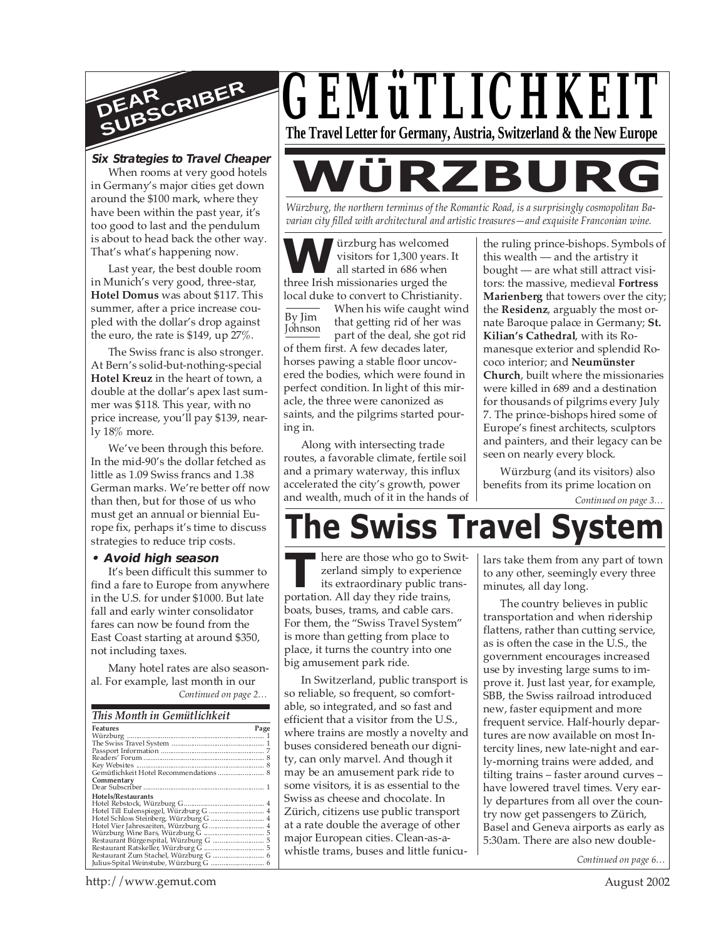

#### **Six Strategies to Travel Cheaper**

When rooms at very good hotels in Germany's major cities get down around the \$100 mark, where they have been within the past year, it's too good to last and the pendulum is about to head back the other way. That's what's happening now.

Last year, the best double room in Munich's very good, three-star, **Hotel Domus** was about \$117. This summer, after a price increase coupled with the dollar's drop against the euro, the rate is \$149, up 27%.

The Swiss franc is also stronger. At Bern's solid-but-nothing-special **Hotel Kreuz** in the heart of town, a double at the dollar's apex last summer was \$118. This year, with no price increase, you'll pay \$139, nearly 18% more.

We've been through this before. In the mid-90's the dollar fetched as little as 1.09 Swiss francs and 1.38 German marks. We're better off now than then, but for those of us who must get an annual or biennial Europe fix, perhaps it's time to discuss strategies to reduce trip costs.

#### **• Avoid high season**

It's been difficult this summer to find a fare to Europe from anywhere in the U.S. for under \$1000. But late fall and early winter consolidator fares can now be found from the East Coast starting at around \$350, not including taxes.

*Continued on page 2…* Many hotel rates are also seasonal. For example, last month in our

| This Month in Gemütlichkeit            |      |
|----------------------------------------|------|
| Features                               | Page |
|                                        |      |
|                                        |      |
|                                        |      |
|                                        |      |
|                                        |      |
| Gemütlichkeit Hotel Recommendations  8 |      |
| Commentary                             |      |
|                                        |      |
| Hotels/Restaurants                     |      |
|                                        |      |
| Hotel Till Eulenspiegel, Würzburg G  4 |      |
|                                        |      |
|                                        |      |
|                                        |      |
|                                        |      |
|                                        |      |
|                                        |      |
|                                        |      |
|                                        |      |



**WÜRZBURG** *Würzburg, the northern terminus of the Romantic Road, is a surprisingly cosmopolitan Ba-*

*varian city filled with architectural and artistic treasures—and exquisite Franconian wine.*

**W** iirzburg has welcomed visitors for 1,300 years.<br>all started in 686 when three Irish missionaries urged the ürzburg has welcomed visitors for 1,300 years. It all started in 686 when local duke to convert to Christianity.

By Jim Johnson When his wife caught wind that getting rid of her was part of the deal, she got rid of them first. A few decades later, horses pawing a stable floor uncovered the bodies, which were found in perfect condition. In light of this miracle, the three were canonized as saints, and the pilgrims started pouring in.

Along with intersecting trade routes, a favorable climate, fertile soil and a primary waterway, this influx accelerated the city's growth, power and wealth, much of it in the hands of the ruling prince-bishops. Symbols of this wealth — and the artistry it bought — are what still attract visitors: the massive, medieval **Fortress Marienberg** that towers over the city; the **Residenz**, arguably the most ornate Baroque palace in Germany; **St. Kilian's Cathedral**, with its Romanesque exterior and splendid Rococo interior; and **Neumünster Church**, built where the missionaries were killed in 689 and a destination for thousands of pilgrims every July 7. The prince-bishops hired some of Europe's finest architects, sculptors and painters, and their legacy can be seen on nearly every block.

*Continued on page 3…* Würzburg (and its visitors) also benefits from its prime location on

# **The Swiss Travel Syst**

**THE SET ASSEMBED THE SET ASSESS THANGE THE SET AND THE PORTATION. All day they ride trains,** ■ here are those who go to Switzerland simply to experience its extraordinary public transboats, buses, trams, and cable cars. For them, the "Swiss Travel System" is more than getting from place to place, it turns the country into one big amusement park ride.

In Switzerland, public transport is so reliable, so frequent, so comfortable, so integrated, and so fast and efficient that a visitor from the U.S., where trains are mostly a novelty and buses considered beneath our dignity, can only marvel. And though it may be an amusement park ride to some visitors, it is as essential to the Swiss as cheese and chocolate. In Zürich, citizens use public transport at a rate double the average of other major European cities. Clean-as-awhistle trams, buses and little funiculars take them from any part of town to any other, seemingly every three minutes, all day long.

The country believes in public transportation and when ridership flattens, rather than cutting service, as is often the case in the U.S., the government encourages increased use by investing large sums to improve it. Just last year, for example, SBB, the Swiss railroad introduced new, faster equipment and more frequent service. Half-hourly departures are now available on most Intercity lines, new late-night and early-morning trains were added, and tilting trains – faster around curves – have lowered travel times. Very early departures from all over the country now get passengers to Zürich, Basel and Geneva airports as early as 5:30am. There are also new double-

*Continued on page 6…*

http://www.gemut.com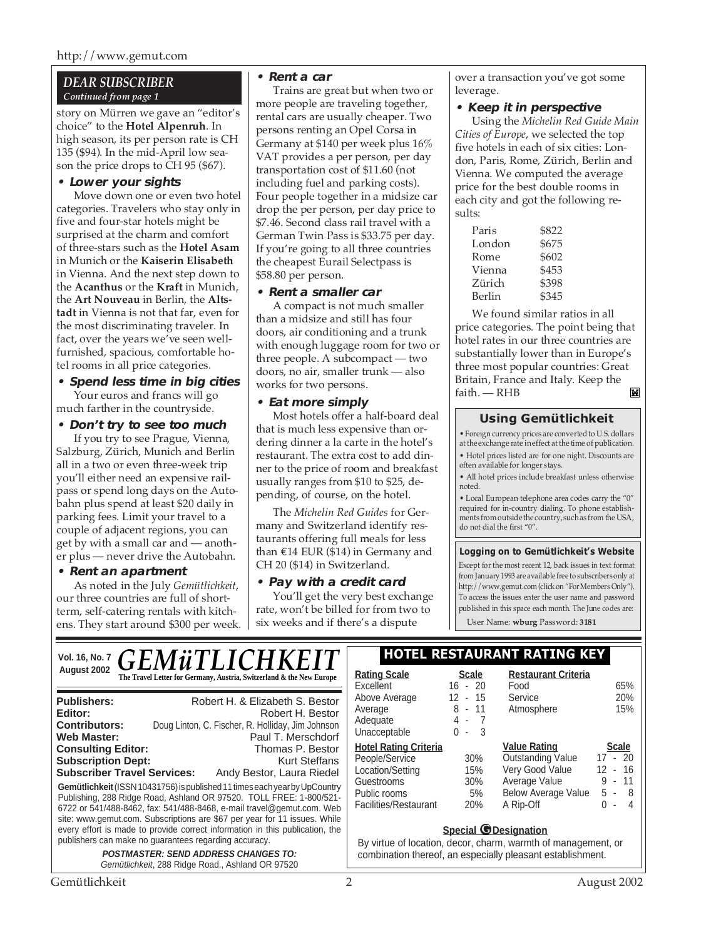#### *DEAR SUBSCRIBER Continued from page 1*

story on Mürren we gave an "editor's choice" to the **Hotel Alpenruh**. In high season, its per person rate is CH 135 (\$94). In the mid-April low season the price drops to CH 95 (\$67).

#### **• Lower your sights**

Move down one or even two hotel categories. Travelers who stay only in five and four-star hotels might be surprised at the charm and comfort of three-stars such as the **Hotel Asam** in Munich or the **Kaiserin Elisabeth** in Vienna. And the next step down to the **Acanthus** or the **Kraft** in Munich, the **Art Nouveau** in Berlin, the **Altstadt** in Vienna is not that far, even for the most discriminating traveler. In fact, over the years we've seen wellfurnished, spacious, comfortable hotel rooms in all price categories.

#### **• Spend less time in big cities**

Your euros and francs will go much farther in the countryside.

#### **• Don't try to see too much**

If you try to see Prague, Vienna, Salzburg, Zürich, Munich and Berlin all in a two or even three-week trip you'll either need an expensive railpass or spend long days on the Autobahn plus spend at least \$20 daily in parking fees. Limit your travel to a couple of adjacent regions, you can get by with a small car and — another plus — never drive the Autobahn.

#### **• Rent an apartment**

As noted in the July *Gemütlichkeit*, our three countries are full of shortterm, self-catering rentals with kitchens. They start around \$300 per week.

#### **• Rent a car**

Trains are great but when two or more people are traveling together, rental cars are usually cheaper. Two persons renting an Opel Corsa in Germany at \$140 per week plus 16% VAT provides a per person, per day transportation cost of \$11.60 (not including fuel and parking costs). Four people together in a midsize car drop the per person, per day price to \$7.46. Second class rail travel with a German Twin Pass is \$33.75 per day. If you're going to all three countries the cheapest Eurail Selectpass is \$58.80 per person.

#### **• Rent a smaller car**

A compact is not much smaller than a midsize and still has four doors, air conditioning and a trunk with enough luggage room for two or three people. A subcompact — two doors, no air, smaller trunk — also works for two persons.

#### **• Eat more simply**

Most hotels offer a half-board deal that is much less expensive than ordering dinner a la carte in the hotel's restaurant. The extra cost to add dinner to the price of room and breakfast usually ranges from \$10 to \$25, depending, of course, on the hotel.

The *Michelin Red Guides* for Germany and Switzerland identify restaurants offering full meals for less than €14 EUR (\$14) in Germany and CH 20 (\$14) in Switzerland.

#### **• Pay with a credit card**

You'll get the very best exchange rate, won't be billed for from two to six weeks and if there's a dispute

over a transaction you've got some leverage.

#### **• Keep it in perspective**

Using the *Michelin Red Guide Main Cities of Europe*, we selected the top five hotels in each of six cities: London, Paris, Rome, Zürich, Berlin and Vienna. We computed the average price for the best double rooms in each city and got the following results:

| Paris  | \$822 |
|--------|-------|
| London | \$675 |
| Rome   | \$602 |
| Vienna | \$453 |
| Zürich | \$398 |
| Berlin | \$345 |
|        |       |

We found similar ratios in all price categories. The point being that hotel rates in our three countries are substantially lower than in Europe's three most popular countries: Great Britain, France and Italy. Keep the **IN** faith. — RHB

#### **Using Gemütlichkeit**

• Foreign currency prices are converted to U.S. dollars at the exchange rate in effect at the time of publication. • Hotel prices listed are for one night. Discounts are often available for longer stays.

• All hotel prices include breakfast unless otherwise noted.

• Local European telephone area codes carry the "0" required for in-country dialing. To phone establishments from outside the country, such as from the USA, do not dial the first "0".

#### **Logging on to Gemütlichkeit's Website**

Except for the most recent 12, back issues in text format from January 1993 are available free to subscribers only at http://www.gemut.com (click on "For Members Only"). To access the issues enter the user name and password published in this space each month. The June codes are:

User Name: **wburg** Password: **3181**

| <b>GEMÜTLICHKEIT</b><br>Vol. 16, No. 7                                                                                                                                                                                                                                                                                                                                                                                                                                    | HOTEL RESTAURANT RATING KEY                                                                                               |                                           |                                                                                                                                |                                                                          |
|---------------------------------------------------------------------------------------------------------------------------------------------------------------------------------------------------------------------------------------------------------------------------------------------------------------------------------------------------------------------------------------------------------------------------------------------------------------------------|---------------------------------------------------------------------------------------------------------------------------|-------------------------------------------|--------------------------------------------------------------------------------------------------------------------------------|--------------------------------------------------------------------------|
| August 2002<br>The Travel Letter for Germany, Austria, Switzerland & the New Europe                                                                                                                                                                                                                                                                                                                                                                                       | <b>Rating Scale</b><br>Excellent                                                                                          | <b>Scale</b><br>$16 - 20$                 | <b>Restaurant Criteria</b><br>Food                                                                                             | 65%                                                                      |
| Robert H. & Elizabeth S. Bestor<br><b>Publishers:</b><br>Editor:<br>Robert H. Bestor<br>Doug Linton, C. Fischer, R. Holliday, Jim Johnson<br><b>Contributors:</b><br><b>Web Master:</b><br>Paul T. Merschdorf                                                                                                                                                                                                                                                             | Above Average<br>Average<br>Adequate<br>Unacceptable                                                                      | $-15$<br>12<br>$8 - 11$<br>4-7<br>$0 - 3$ | Service<br>Atmosphere                                                                                                          | 20%<br>15%                                                               |
| <b>Consulting Editor:</b><br>Thomas P. Bestor<br><b>Subscription Dept:</b><br>Kurt Steffans<br><b>Subscriber Travel Services:</b><br>Andy Bestor, Laura Riedel<br>Gemütlichkeit (ISSN 10431756) is published 11 times each year by UpCountry<br>Publishing, 288 Ridge Road, Ashland OR 97520. TOLL FREE: 1-800/521-<br>6722 or 541/488-8462, fax: 541/488-8468, e-mail travel@gemut.com. Web<br>site: www.gemut.com. Subscriptions are \$67 per year for 11 issues. While | <b>Hotel Rating Criteria</b><br>People/Service<br>Location/Setting<br>Guestrooms<br>Public rooms<br>Facilities/Restaurant | 30%<br>15%<br>30%<br>5%<br>20%            | <b>Value Rating</b><br><b>Outstanding Value</b><br>Very Good Value<br>Average Value<br><b>Below Average Value</b><br>A Rip-Off | <b>Scale</b><br>$17 - 20$<br>$12 - 16$<br>$9 - 11$<br>$5 - 8$<br>$0 - 4$ |
| every effort is made to provide correct information in this publication, the<br>publishers can make no guarantees regarding accuracy.<br><b>POSTMASTER: SEND ADDRESS CHANGES TO:</b><br>Gemütlichkeit, 288 Ridge Road., Ashland OR 97520                                                                                                                                                                                                                                  |                                                                                                                           | <b>Special <i>O</i></b> Designation       | By virtue of location, decor, charm, warmth of management, or<br>combination thereof, an especially pleasant establishment.    |                                                                          |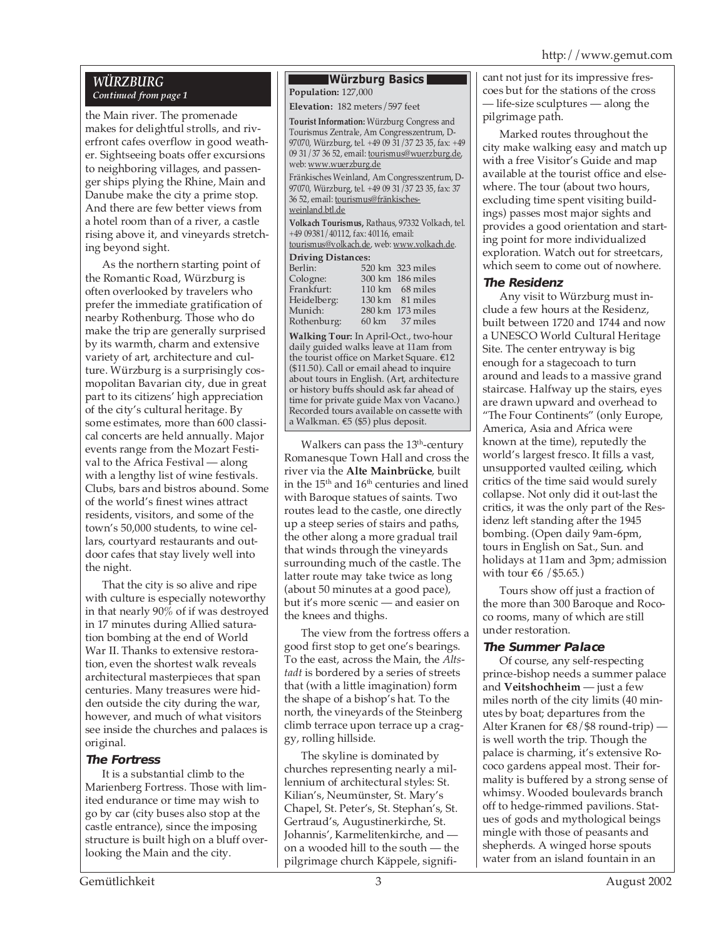#### *WÜRZBURG Continued from page 1*

the Main river. The promenade makes for delightful strolls, and riverfront cafes overflow in good weather. Sightseeing boats offer excursions to neighboring villages, and passenger ships plying the Rhine, Main and Danube make the city a prime stop. And there are few better views from a hotel room than of a river, a castle rising above it, and vineyards stretching beyond sight.

As the northern starting point of the Romantic Road, Würzburg is often overlooked by travelers who prefer the immediate gratification of nearby Rothenburg. Those who do make the trip are generally surprised by its warmth, charm and extensive variety of art, architecture and culture. Würzburg is a surprisingly cosmopolitan Bavarian city, due in great part to its citizens' high appreciation of the city's cultural heritage. By some estimates, more than 600 classical concerts are held annually. Major events range from the Mozart Festival to the Africa Festival — along with a lengthy list of wine festivals. Clubs, bars and bistros abound. Some of the world's finest wines attract residents, visitors, and some of the town's 50,000 students, to wine cellars, courtyard restaurants and outdoor cafes that stay lively well into the night.

That the city is so alive and ripe with culture is especially noteworthy in that nearly 90% of if was destroyed in 17 minutes during Allied saturation bombing at the end of World War II. Thanks to extensive restoration, even the shortest walk reveals architectural masterpieces that span centuries. Many treasures were hidden outside the city during the war, however, and much of what visitors see inside the churches and palaces is original.

#### **The Fortress**

It is a substantial climb to the Marienberg Fortress. Those with limited endurance or time may wish to go by car (city buses also stop at the castle entrance), since the imposing structure is built high on a bluff overlooking the Main and the city.

#### **Würzburg Basics Population:** 127,000

**Elevation:** 182 meters/597 feet

**Tourist Information:** Würzburg Congress and Tourismus Zentrale, Am Congresszentrum, D-97070, Würzburg, tel. +49 09 31/37 23 35, fax: +49 09 31/37 36 52, email: tourismus@wuerzburg.de, web: www.wuerzburg.de Fränkisches Weinland, Am Congresszentrum, D-97070, Würzburg, tel. +49 09 31/37 23 35, fax: 37 36 52, email: tourismus@fränkischesweinland.btl.de **Volkach Tourismus,** Rathaus, 97332 Volkach, tel. +49 09381/40112, fax: 40116, email: tourismus@volkach.de, web: www.volkach.de. **Driving Distances:** 520 km 323 miles<br>300 km 186 miles

| Cologne:    | 300 km 186 miles |
|-------------|------------------|
| Frankfurt:  | 110 km 68 miles  |
| Heidelberg: | 130 km 81 miles  |
| Munich:     | 280 km 173 miles |
| Rothenburg: | 60 km 37 miles   |
|             |                  |

**Walking Tour:** In April-Oct., two-hour daily guided walks leave at 11am from the tourist office on Market Square. €12 (\$11.50). Call or email ahead to inquire about tours in English. (Art, architecture or history buffs should ask far ahead of time for private guide Max von Vacano.) Recorded tours available on cassette with a Walkman. €5 (\$5) plus deposit.

Walkers can pass the 13<sup>th</sup>-century Romanesque Town Hall and cross the river via the **Alte Mainbrücke**, built in the 15<sup>th</sup> and 16<sup>th</sup> centuries and lined with Baroque statues of saints. Two routes lead to the castle, one directly up a steep series of stairs and paths, the other along a more gradual trail that winds through the vineyards surrounding much of the castle. The latter route may take twice as long (about 50 minutes at a good pace), but it's more scenic — and easier on the knees and thighs.

The view from the fortress offers a good first stop to get one's bearings. To the east, across the Main, the *Altstadt* is bordered by a series of streets that (with a little imagination) form the shape of a bishop's hat. To the north, the vineyards of the Steinberg climb terrace upon terrace up a craggy, rolling hillside.

The skyline is dominated by churches representing nearly a millennium of architectural styles: St. Kilian's, Neumünster, St. Mary's Chapel, St. Peter's, St. Stephan's, St. Gertraud's, Augustinerkirche, St. Johannis', Karmelitenkirche, and on a wooded hill to the south — the pilgrimage church Käppele, significant not just for its impressive frescoes but for the stations of the cross — life-size sculptures — along the pilgrimage path.

Marked routes throughout the city make walking easy and match up with a free Visitor's Guide and map available at the tourist office and elsewhere. The tour (about two hours, excluding time spent visiting buildings) passes most major sights and provides a good orientation and starting point for more individualized exploration. Watch out for streetcars, which seem to come out of nowhere.

#### **The Residenz**

Any visit to Würzburg must include a few hours at the Residenz, built between 1720 and 1744 and now a UNESCO World Cultural Heritage Site. The center entryway is big enough for a stagecoach to turn around and leads to a massive grand staircase. Halfway up the stairs, eyes are drawn upward and overhead to "The Four Continents" (only Europe, America, Asia and Africa were known at the time), reputedly the world's largest fresco. It fills a vast, unsupported vaulted ceiling, which critics of the time said would surely collapse. Not only did it out-last the critics, it was the only part of the Residenz left standing after the 1945 bombing. (Open daily 9am-6pm, tours in English on Sat., Sun. and holidays at 11am and 3pm; admission with tour €6 / \$5.65.)

Tours show off just a fraction of the more than 300 Baroque and Rococo rooms, many of which are still under restoration.

#### **The Summer Palace**

Of course, any self-respecting prince-bishop needs a summer palace and **Veitshochheim** — just a few miles north of the city limits (40 minutes by boat; departures from the Alter Kranen for  $\epsilon$ 8/\$8 round-trip) is well worth the trip. Though the palace is charming, it's extensive Rococo gardens appeal most. Their formality is buffered by a strong sense of whimsy. Wooded boulevards branch off to hedge-rimmed pavilions. Statues of gods and mythological beings mingle with those of peasants and shepherds. A winged horse spouts water from an island fountain in an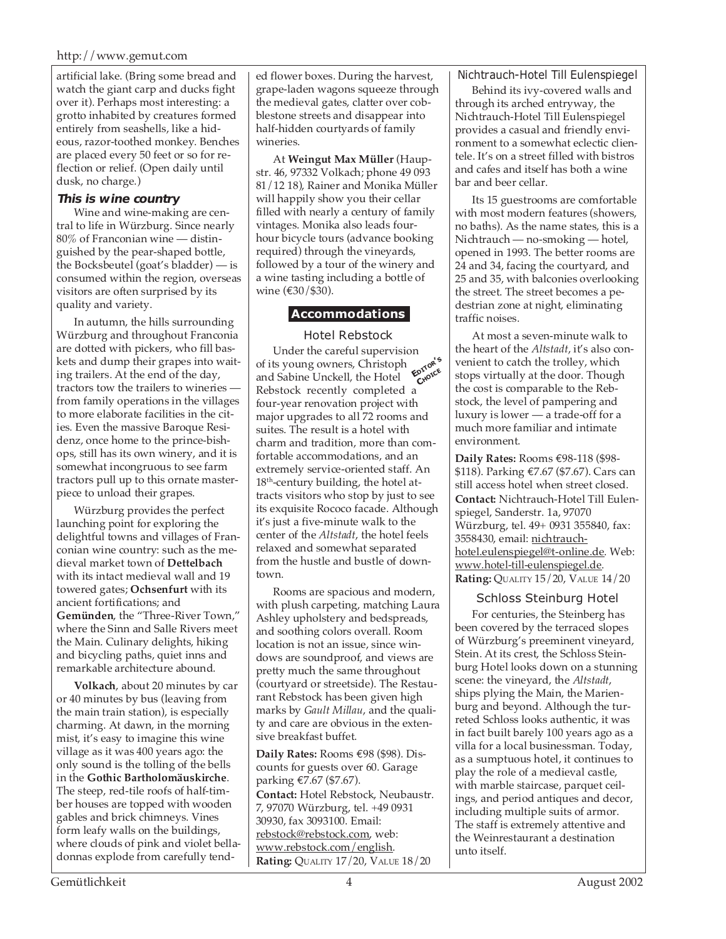#### http://www.gemut.com

artificial lake. (Bring some bread and watch the giant carp and ducks fight over it). Perhaps most interesting: a grotto inhabited by creatures formed entirely from seashells, like a hideous, razor-toothed monkey. Benches are placed every 50 feet or so for reflection or relief. (Open daily until dusk, no charge.)

#### **This is wine country**

Wine and wine-making are central to life in Würzburg. Since nearly 80% of Franconian wine — distinguished by the pear-shaped bottle, the Bocksbeutel (goat's bladder) — is consumed within the region, overseas visitors are often surprised by its quality and variety.

In autumn, the hills surrounding Würzburg and throughout Franconia are dotted with pickers, who fill baskets and dump their grapes into waiting trailers. At the end of the day, tractors tow the trailers to wineries from family operations in the villages to more elaborate facilities in the cities. Even the massive Baroque Residenz, once home to the prince-bishops, still has its own winery, and it is somewhat incongruous to see farm tractors pull up to this ornate masterpiece to unload their grapes.

Würzburg provides the perfect launching point for exploring the delightful towns and villages of Franconian wine country: such as the medieval market town of **Dettelbach** with its intact medieval wall and 19 towered gates; **Ochsenfurt** with its ancient fortifications; and **Gemünden**, the "Three-River Town," where the Sinn and Salle Rivers meet the Main. Culinary delights, hiking and bicycling paths, quiet inns and remarkable architecture abound.

**Volkach**, about 20 minutes by car or 40 minutes by bus (leaving from the main train station), is especially charming. At dawn, in the morning mist, it's easy to imagine this wine village as it was 400 years ago: the only sound is the tolling of the bells in the **Gothic Bartholomäuskirche**. The steep, red-tile roofs of half-timber houses are topped with wooden gables and brick chimneys. Vines form leafy walls on the buildings, where clouds of pink and violet belladonnas explode from carefully tend-

ed flower boxes. During the harvest, grape-laden wagons squeeze through the medieval gates, clatter over cobblestone streets and disappear into half-hidden courtyards of family wineries.

At **Weingut Max Müller** (Haupstr. 46, 97332 Volkach; phone 49 093 81/12 18), Rainer and Monika Müller will happily show you their cellar filled with nearly a century of family vintages. Monika also leads fourhour bicycle tours (advance booking required) through the vineyards, followed by a tour of the winery and a wine tasting including a bottle of wine (€30/\$30).

#### **Accommodations**

#### Hotel Rebstock

**EDITOR'<sup>S</sup> CHOICE** Under the careful supervision of its young owners, Christoph and Sabine Unckell, the Hotel Rebstock recently completed a four-year renovation project with major upgrades to all 72 rooms and suites. The result is a hotel with charm and tradition, more than comfortable accommodations, and an extremely service-oriented staff. An 18<sup>th</sup>-century building, the hotel attracts visitors who stop by just to see its exquisite Rococo facade. Although it's just a five-minute walk to the center of the *Altstadt*, the hotel feels relaxed and somewhat separated from the hustle and bustle of downtown.

Rooms are spacious and modern, with plush carpeting, matching Laura Ashley upholstery and bedspreads, and soothing colors overall. Room location is not an issue, since windows are soundproof, and views are pretty much the same throughout (courtyard or streetside). The Restaurant Rebstock has been given high marks by *Gault Millau*, and the quality and care are obvious in the extensive breakfast buffet.

**Daily Rates:** Rooms €98 (\$98). Discounts for guests over 60. Garage parking €7.67 (\$7.67). **Contact:** Hotel Rebstock, Neubaustr. 7, 97070 Würzburg, tel. +49 0931 30930, fax 3093100. Email: rebstock@rebstock.com, web: www.rebstock.com/english. **Rating:** QUALITY 17/20, VALUE 18/20

Nichtrauch-Hotel Till Eulenspiegel

Behind its ivy-covered walls and through its arched entryway, the Nichtrauch-Hotel Till Eulenspiegel provides a casual and friendly environment to a somewhat eclectic clientele. It's on a street filled with bistros and cafes and itself has both a wine bar and beer cellar.

Its 15 guestrooms are comfortable with most modern features (showers, no baths). As the name states, this is a Nichtrauch — no-smoking — hotel, opened in 1993. The better rooms are 24 and 34, facing the courtyard, and 25 and 35, with balconies overlooking the street. The street becomes a pedestrian zone at night, eliminating traffic noises.

At most a seven-minute walk to the heart of the *Altstadt*, it's also convenient to catch the trolley, which stops virtually at the door. Though the cost is comparable to the Rebstock, the level of pampering and luxury is lower — a trade-off for a much more familiar and intimate environment.

**Daily Rates:** Rooms €98-118 (\$98- \$118). Parking €7.67 (\$7.67). Cars can still access hotel when street closed. **Contact:** Nichtrauch-Hotel Till Eulenspiegel, Sanderstr. 1a, 97070 Würzburg, tel. 49+ 0931 355840, fax: 3558430, email: nichtrauchhotel.eulenspiegel@t-online.de. Web: www.hotel-till-eulenspiegel.de. **Rating:** QUALITY 15/20, VALUE 14/20

#### Schloss Steinburg Hotel

For centuries, the Steinberg has been covered by the terraced slopes of Würzburg's preeminent vineyard, Stein. At its crest, the Schloss Steinburg Hotel looks down on a stunning scene: the vineyard, the *Altstadt*, ships plying the Main, the Marienburg and beyond. Although the turreted Schloss looks authentic, it was in fact built barely 100 years ago as a villa for a local businessman. Today, as a sumptuous hotel, it continues to play the role of a medieval castle, with marble staircase, parquet ceilings, and period antiques and decor, including multiple suits of armor. The staff is extremely attentive and the Weinrestaurant a destination unto itself.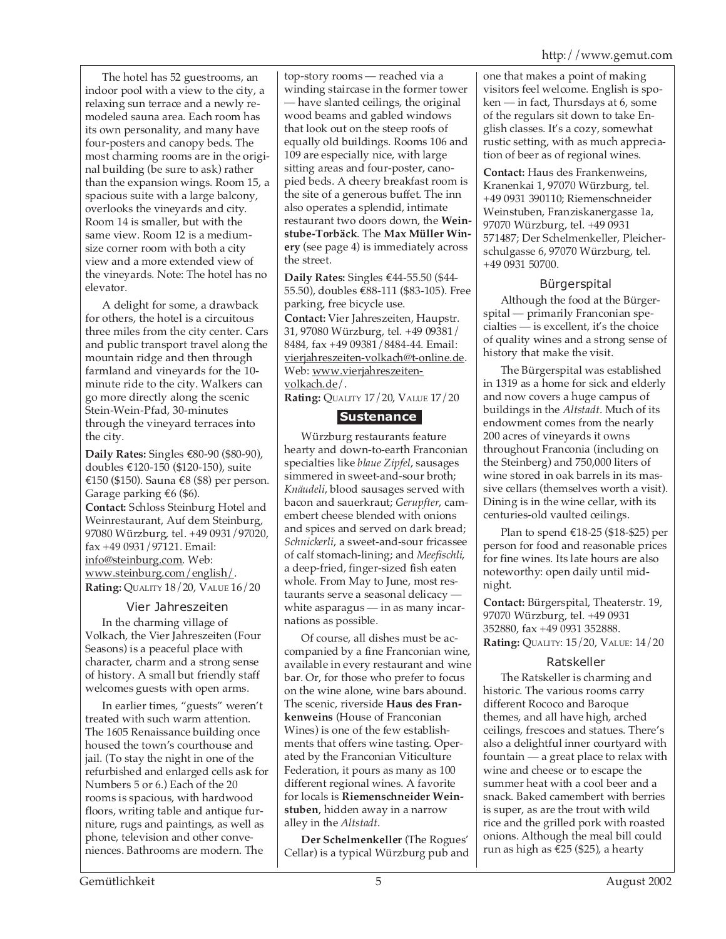The hotel has 52 guestrooms, an indoor pool with a view to the city, a relaxing sun terrace and a newly remodeled sauna area. Each room has its own personality, and many have four-posters and canopy beds. The most charming rooms are in the original building (be sure to ask) rather than the expansion wings. Room 15, a spacious suite with a large balcony, overlooks the vineyards and city. Room 14 is smaller, but with the same view. Room 12 is a mediumsize corner room with both a city view and a more extended view of the vineyards. Note: The hotel has no elevator.

A delight for some, a drawback for others, the hotel is a circuitous three miles from the city center. Cars and public transport travel along the mountain ridge and then through farmland and vineyards for the 10 minute ride to the city. Walkers can go more directly along the scenic Stein-Wein-Pfad, 30-minutes through the vineyard terraces into the city.

**Daily Rates:** Singles €80-90 (\$80-90), doubles €120-150 (\$120-150), suite €150 (\$150). Sauna €8 (\$8) per person. Garage parking  $€6$  (\$6). **Contact:** Schloss Steinburg Hotel and Weinrestaurant, Auf dem Steinburg, 97080 Würzburg, tel. +49 0931/97020, fax +49 0931/97121. Email: info@steinburg.com. Web: www.steinburg.com/english/. **Rating:** QUALITY 18/20, VALUE 16/20

#### Vier Jahreszeiten

In the charming village of Volkach, the Vier Jahreszeiten (Four Seasons) is a peaceful place with character, charm and a strong sense of history. A small but friendly staff welcomes guests with open arms.

In earlier times, "guests" weren't treated with such warm attention. The 1605 Renaissance building once housed the town's courthouse and jail. (To stay the night in one of the refurbished and enlarged cells ask for Numbers 5 or 6.) Each of the 20 rooms is spacious, with hardwood floors, writing table and antique furniture, rugs and paintings, as well as phone, television and other conveniences. Bathrooms are modern. The

top-story rooms — reached via a winding staircase in the former tower — have slanted ceilings, the original wood beams and gabled windows that look out on the steep roofs of equally old buildings. Rooms 106 and 109 are especially nice, with large sitting areas and four-poster, canopied beds. A cheery breakfast room is the site of a generous buffet. The inn also operates a splendid, intimate restaurant two doors down, the **Weinstube-Torbäck**. The **Max Müller Winery** (see page 4) is immediately across the street.

**Daily Rates:** Singles €44-55.50 (\$44- 55.50), doubles €88-111 (\$83-105). Free parking, free bicycle use. **Contact:** Vier Jahreszeiten, Haupstr. 31, 97080 Würzburg, tel. +49 09381/ 8484, fax +49 09381/8484-44. Email: vierjahreszeiten-volkach@t-online.de. Web: www.vierjahreszeitenvolkach.de/.

**Rating:** QUALITY 17/20, VALUE 17/20

### **Sustenance**

Würzburg restaurants feature hearty and down-to-earth Franconian specialties like *blaue Zipfel*, sausages simmered in sweet-and-sour broth; *Knäudeli*, blood sausages served with bacon and sauerkraut; *Gerupfter*, camembert cheese blended with onions and spices and served on dark bread; *Schnickerli*, a sweet-and-sour fricassee of calf stomach-lining; and *Meefischli*, a deep-fried, finger-sized fish eaten whole. From May to June, most restaurants serve a seasonal delicacy white asparagus — in as many incarnations as possible.

Of course, all dishes must be accompanied by a fine Franconian wine, available in every restaurant and wine bar. Or, for those who prefer to focus on the wine alone, wine bars abound. The scenic, riverside **Haus des Frankenweins** (House of Franconian Wines) is one of the few establishments that offers wine tasting. Operated by the Franconian Viticulture Federation, it pours as many as 100 different regional wines. A favorite for locals is **Riemenschneider Weinstuben**, hidden away in a narrow alley in the *Altstadt*.

**Der Schelmenkeller** (The Rogues' Cellar) is a typical Würzburg pub and one that makes a point of making visitors feel welcome. English is spoken — in fact, Thursdays at 6, some of the regulars sit down to take English classes. It's a cozy, somewhat rustic setting, with as much appreciation of beer as of regional wines.

**Contact:** Haus des Frankenweins, Kranenkai 1, 97070 Würzburg, tel. +49 0931 390110; Riemenschneider Weinstuben, Franziskanergasse 1a, 97070 Würzburg, tel. +49 0931 571487; Der Schelmenkeller, Pleicherschulgasse 6, 97070 Würzburg, tel. +49 0931 50700.

#### Bürgerspital

Although the food at the Bürgerspital — primarily Franconian specialties — is excellent, it's the choice of quality wines and a strong sense of history that make the visit.

The Bürgerspital was established in 1319 as a home for sick and elderly and now covers a huge campus of buildings in the *Altstadt*. Much of its endowment comes from the nearly 200 acres of vineyards it owns throughout Franconia (including on the Steinberg) and 750,000 liters of wine stored in oak barrels in its massive cellars (themselves worth a visit). Dining is in the wine cellar, with its centuries-old vaulted ceilings.

Plan to spend €18-25 (\$18-\$25) per person for food and reasonable prices for fine wines. Its late hours are also noteworthy: open daily until midnight.

**Contact:** Bürgerspital, Theaterstr. 19, 97070 Würzburg, tel. +49 0931 352880, fax +49 0931 352888. **Rating:** QUALITY: 15/20, VALUE: 14/20

#### Ratskeller

The Ratskeller is charming and historic. The various rooms carry different Rococo and Baroque themes, and all have high, arched ceilings, frescoes and statues. There's also a delightful inner courtyard with fountain — a great place to relax with wine and cheese or to escape the summer heat with a cool beer and a snack. Baked camembert with berries is super, as are the trout with wild rice and the grilled pork with roasted onions. Although the meal bill could run as high as €25 (\$25), a hearty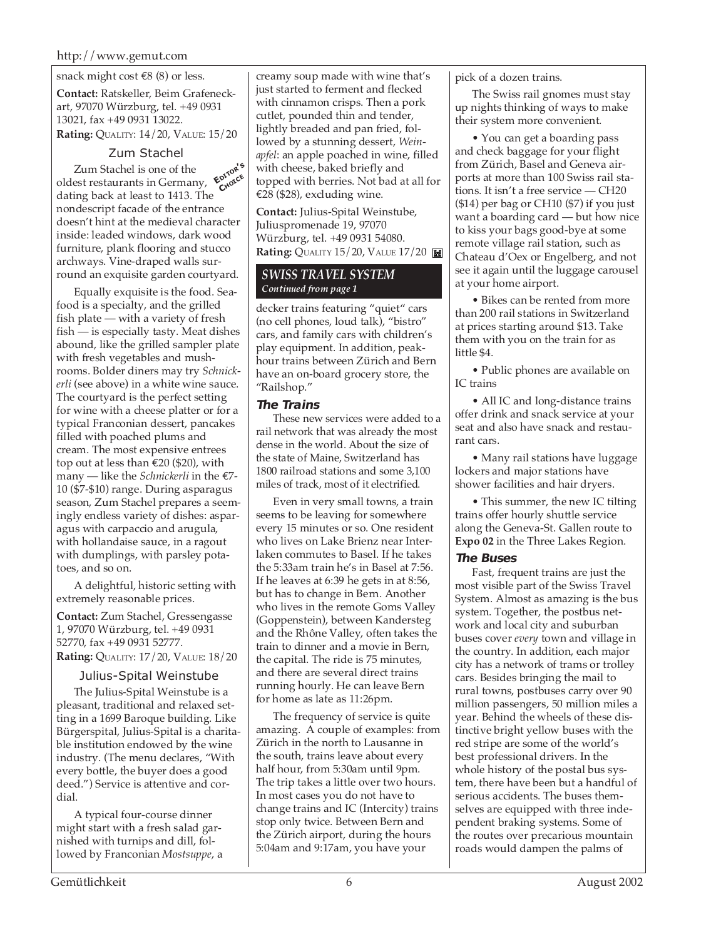#### snack might cost  $\text{\textsterling}8$  (8) or less.

**Contact:** Ratskeller, Beim Grafeneckart, 97070 Würzburg, tel. +49 0931 13021, fax +49 0931 13022. **Rating:** QUALITY: 14/20, VALUE: 15/20

#### Zum Stachel

Zum Stachel is one of the oldest restaurants in Germany, dating back at least to 1413. The nondescript facade of the entrance doesn't hint at the medieval character inside: leaded windows, dark wood furniture, plank flooring and stucco archways. Vine-draped walls surround an exquisite garden courtyard. **EDITOR'<sup>S</sup> CHOICE**

Equally exquisite is the food. Seafood is a specialty, and the grilled fish plate — with a variety of fresh fish — is especially tasty. Meat dishes abound, like the grilled sampler plate with fresh vegetables and mushrooms. Bolder diners may try *Schnickerli* (see above) in a white wine sauce. The courtyard is the perfect setting for wine with a cheese platter or for a typical Franconian dessert, pancakes filled with poached plums and cream. The most expensive entrees top out at less than €20 (\$20), with many — like the *Schnickerli* in the €7- 10 (\$7-\$10) range. During asparagus season, Zum Stachel prepares a seemingly endless variety of dishes: asparagus with carpaccio and arugula, with hollandaise sauce, in a ragout with dumplings, with parsley potatoes, and so on.

A delightful, historic setting with extremely reasonable prices.

**Contact:** Zum Stachel, Gressengasse 1, 97070 Würzburg, tel. +49 0931 52770, fax +49 0931 52777. **Rating:** QUALITY: 17/20, VALUE: 18/20

#### Julius-Spital Weinstube

The Julius-Spital Weinstube is a pleasant, traditional and relaxed setting in a 1699 Baroque building. Like Bürgerspital, Julius-Spital is a charitable institution endowed by the wine industry. (The menu declares, "With every bottle, the buyer does a good deed.") Service is attentive and cordial.

A typical four-course dinner might start with a fresh salad garnished with turnips and dill, followed by Franconian *Mostsuppe*, a creamy soup made with wine that's just started to ferment and flecked with cinnamon crisps. Then a pork cutlet, pounded thin and tender, lightly breaded and pan fried, followed by a stunning dessert, *Weinapfel*: an apple poached in wine, filled with cheese, baked briefly and topped with berries. Not bad at all for €28 (\$28), excluding wine.

**Contact:** Julius-Spital Weinstube, Juliuspromenade 19, 97070 Würzburg, tel. +49 0931 54080. **Rating:** QUALITY 15/20, VALUE 17/20

#### *SWISS TRAVEL SYSTEM Continued from page 1*

decker trains featuring "quiet" cars (no cell phones, loud talk), "bistro" cars, and family cars with children's play equipment. In addition, peakhour trains between Zürich and Bern have an on-board grocery store, the "Railshop."

#### **The Trains**

These new services were added to a rail network that was already the most dense in the world. About the size of the state of Maine, Switzerland has 1800 railroad stations and some 3,100 miles of track, most of it electrified.

Even in very small towns, a train seems to be leaving for somewhere every 15 minutes or so. One resident who lives on Lake Brienz near Interlaken commutes to Basel. If he takes the 5:33am train he's in Basel at 7:56. If he leaves at 6:39 he gets in at 8:56, but has to change in Bern. Another who lives in the remote Goms Valley (Goppenstein), between Kandersteg and the Rhône Valley, often takes the train to dinner and a movie in Bern, the capital. The ride is 75 minutes, and there are several direct trains running hourly. He can leave Bern for home as late as 11:26pm.

The frequency of service is quite amazing. A couple of examples: from Zürich in the north to Lausanne in the south, trains leave about every half hour, from 5:30am until 9pm. The trip takes a little over two hours. In most cases you do not have to change trains and IC (Intercity) trains stop only twice. Between Bern and the Zürich airport, during the hours 5:04am and 9:17am, you have your

pick of a dozen trains.

The Swiss rail gnomes must stay up nights thinking of ways to make their system more convenient.

• You can get a boarding pass and check baggage for your flight from Zürich, Basel and Geneva airports at more than 100 Swiss rail stations. It isn't a free service — CH20 (\$14) per bag or CH10 (\$7) if you just want a boarding card — but how nice to kiss your bags good-bye at some remote village rail station, such as Chateau d'Oex or Engelberg, and not see it again until the luggage carousel at your home airport.

• Bikes can be rented from more than 200 rail stations in Switzerland at prices starting around \$13. Take them with you on the train for as little \$4.

• Public phones are available on IC trains

• All IC and long-distance trains offer drink and snack service at your seat and also have snack and restaurant cars.

• Many rail stations have luggage lockers and major stations have shower facilities and hair dryers.

• This summer, the new IC tilting trains offer hourly shuttle service along the Geneva-St. Gallen route to **Expo 02** in the Three Lakes Region.

#### **The Buses**

Fast, frequent trains are just the most visible part of the Swiss Travel System. Almost as amazing is the bus system. Together, the postbus network and local city and suburban buses cover *every* town and village in the country. In addition, each major city has a network of trams or trolley cars. Besides bringing the mail to rural towns, postbuses carry over 90 million passengers, 50 million miles a year. Behind the wheels of these distinctive bright yellow buses with the red stripe are some of the world's best professional drivers. In the whole history of the postal bus system, there have been but a handful of serious accidents. The buses themselves are equipped with three independent braking systems. Some of the routes over precarious mountain roads would dampen the palms of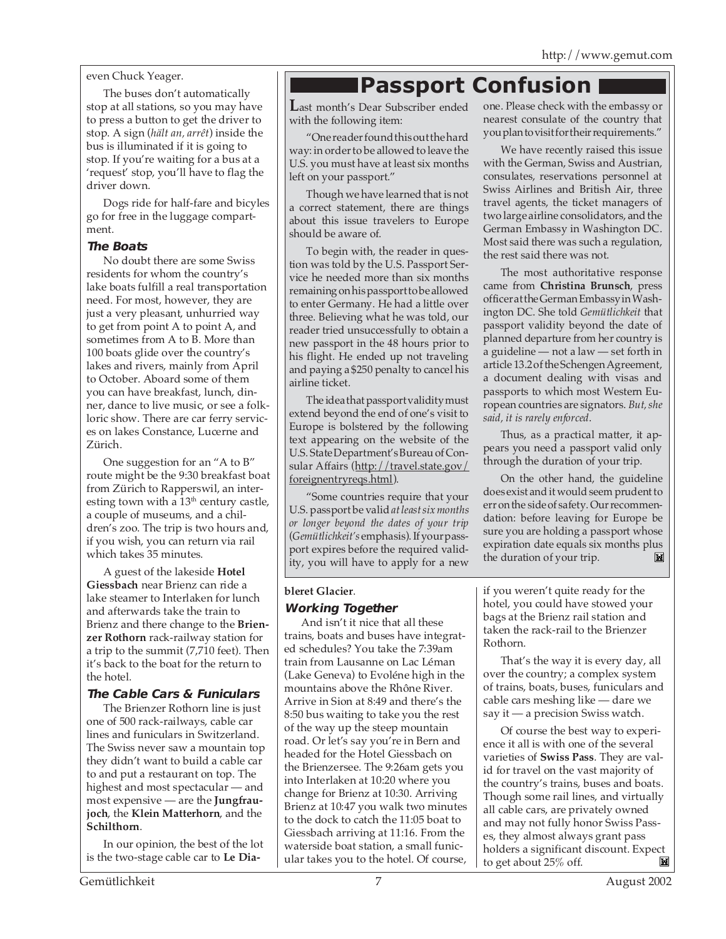even Chuck Yeager.

The buses don't automatically stop at all stations, so you may have to press a button to get the driver to stop. A sign (*hält an, arrêt*) inside the bus is illuminated if it is going to stop. If you're waiting for a bus at a 'request' stop, you'll have to flag the driver down.

Dogs ride for half-fare and bicyles go for free in the luggage compartment.

#### **The Boats**

No doubt there are some Swiss residents for whom the country's lake boats fulfill a real transportation need. For most, however, they are just a very pleasant, unhurried way to get from point A to point A, and sometimes from A to B. More than 100 boats glide over the country's lakes and rivers, mainly from April to October. Aboard some of them you can have breakfast, lunch, dinner, dance to live music, or see a folkloric show. There are car ferry services on lakes Constance, Lucerne and Zürich.

One suggestion for an "A to B" route might be the 9:30 breakfast boat from Zürich to Rapperswil, an interesting town with a  $13<sup>th</sup>$  century castle, a couple of museums, and a children's zoo. The trip is two hours and, if you wish, you can return via rail which takes 35 minutes.

A guest of the lakeside **Hotel Giessbach** near Brienz can ride a lake steamer to Interlaken for lunch and afterwards take the train to Brienz and there change to the **Brienzer Rothorn** rack-railway station for a trip to the summit (7,710 feet). Then it's back to the boat for the return to the hotel.

#### **The Cable Cars & Funiculars**

The Brienzer Rothorn line is just one of 500 rack-railways, cable car lines and funiculars in Switzerland. The Swiss never saw a mountain top they didn't want to build a cable car to and put a restaurant on top. The highest and most spectacular — and most expensive — are the **Jungfraujoch**, the **Klein Matterhorn**, and the **Schilthorn**.

In our opinion, the best of the lot is the two-stage cable car to **Le Dia-**

### **Passport Confusion**

**L**ast month's Dear Subscriber ended with the following item:

"One reader found this out the hard way: in order to be allowed to leave the U.S. you must have at least six months left on your passport."

Though we have learned that is not a correct statement, there are things about this issue travelers to Europe should be aware of.

To begin with, the reader in question was told by the U.S. Passport Service he needed more than six months remaining on his passport to be allowed to enter Germany. He had a little over three. Believing what he was told, our reader tried unsuccessfully to obtain a new passport in the 48 hours prior to his flight. He ended up not traveling and paying a \$250 penalty to cancel his airline ticket.

The idea that passport validity must extend beyond the end of one's visit to Europe is bolstered by the following text appearing on the website of the U.S. State Department's Bureau of Consular Affairs (http://travel.state.gov/ foreignentryreqs.html).

"Some countries require that your U.S. passport be valid *at least six months or longer beyond the dates of your trip* (*Gemütlichkeit's* emphasis). If your passport expires before the required validity, you will have to apply for a new

#### **bleret Glacier**.

#### **Working Together**

And isn't it nice that all these trains, boats and buses have integrated schedules? You take the 7:39am train from Lausanne on Lac Léman (Lake Geneva) to Evoléne high in the mountains above the Rhône River. Arrive in Sion at 8:49 and there's the 8:50 bus waiting to take you the rest of the way up the steep mountain road. Or let's say you're in Bern and headed for the Hotel Giessbach on the Brienzersee. The 9:26am gets you into Interlaken at 10:20 where you change for Brienz at 10:30. Arriving Brienz at 10:47 you walk two minutes to the dock to catch the 11:05 boat to Giessbach arriving at 11:16. From the waterside boat station, a small funicular takes you to the hotel. Of course,

one. Please check with the embassy or nearest consulate of the country that you plan to visit for their requirements."

We have recently raised this issue with the German, Swiss and Austrian, consulates, reservations personnel at Swiss Airlines and British Air, three travel agents, the ticket managers of two large airline consolidators, and the German Embassy in Washington DC. Most said there was such a regulation, the rest said there was not.

The most authoritative response came from **Christina Brunsch**, press officer at the German Embassy in Washington DC. She told *Gemütlichkeit* that passport validity beyond the date of planned departure from her country is a guideline — not a law — set forth in article 13.2 of the Schengen Agreement, a document dealing with visas and passports to which most Western European countries are signators. *But, she said, it is rarely enforced*.

Thus, as a practical matter, it appears you need a passport valid only through the duration of your trip.

On the other hand, the guideline does exist and it would seem prudent to err on the side of safety. Our recommendation: before leaving for Europe be sure you are holding a passport whose expiration date equals six months plus the duration of your trip. M

if you weren't quite ready for the hotel, you could have stowed your bags at the Brienz rail station and taken the rack-rail to the Brienzer Rothorn.

That's the way it is every day, all over the country; a complex system of trains, boats, buses, funiculars and cable cars meshing like — dare we say it — a precision Swiss watch.

Of course the best way to experience it all is with one of the several varieties of **Swiss Pass**. They are valid for travel on the vast majority of the country's trains, buses and boats. Though some rail lines, and virtually all cable cars, are privately owned and may not fully honor Swiss Passes, they almost always grant pass holders a significant discount. Expect to get about 25% off.M